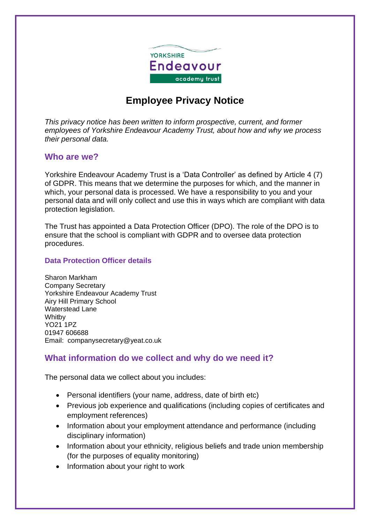

# **Employee Privacy Notice**

*This privacy notice has been written to inform prospective, current, and former employees of Yorkshire Endeavour Academy Trust, about how and why we process their personal data.*

#### **Who are we?**

Yorkshire Endeavour Academy Trust is a 'Data Controller' as defined by Article 4 (7) of GDPR. This means that we determine the purposes for which, and the manner in which, your personal data is processed. We have a responsibility to you and your personal data and will only collect and use this in ways which are compliant with data protection legislation.

The Trust has appointed a Data Protection Officer (DPO). The role of the DPO is to ensure that the school is compliant with GDPR and to oversee data protection procedures.

#### **Data Protection Officer details**

Sharon Markham Company Secretary Yorkshire Endeavour Academy Trust Airy Hill Primary School Waterstead Lane **Whitby** YO21 1PZ 01947 606688 Email: companysecretary@yeat.co.uk

#### **What information do we collect and why do we need it?**

The personal data we collect about you includes:

- Personal identifiers (your name, address, date of birth etc)
- Previous job experience and qualifications (including copies of certificates and employment references)
- Information about your employment attendance and performance (including disciplinary information)
- Information about your ethnicity, religious beliefs and trade union membership (for the purposes of equality monitoring)
- Information about your right to work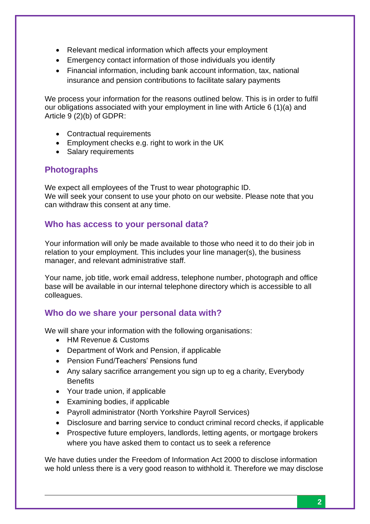- Relevant medical information which affects your employment
- Emergency contact information of those individuals you identify
- Financial information, including bank account information, tax, national insurance and pension contributions to facilitate salary payments

We process your information for the reasons outlined below. This is in order to fulfil our obligations associated with your employment in line with Article 6 (1)(a) and Article 9 (2)(b) of GDPR:

- Contractual requirements
- Employment checks e.g. right to work in the UK
- Salary requirements

# **Photographs**

We expect all employees of the Trust to wear photographic ID. We will seek your consent to use your photo on our website. Please note that you can withdraw this consent at any time.

# **Who has access to your personal data?**

Your information will only be made available to those who need it to do their job in relation to your employment. This includes your line manager(s), the business manager, and relevant administrative staff.

Your name, job title, work email address, telephone number, photograph and office base will be available in our internal telephone directory which is accessible to all colleagues.

# **Who do we share your personal data with?**

We will share your information with the following organisations:

- HM Revenue & Customs
- Department of Work and Pension, if applicable
- Pension Fund/Teachers' Pensions fund
- Any salary sacrifice arrangement you sign up to eg a charity, Everybody **Benefits**
- Your trade union, if applicable
- Examining bodies, if applicable
- Payroll administrator (North Yorkshire Payroll Services)
- Disclosure and barring service to conduct criminal record checks, if applicable
- Prospective future employers, landlords, letting agents, or mortgage brokers where you have asked them to contact us to seek a reference

We have duties under the Freedom of Information Act 2000 to disclose information we hold unless there is a very good reason to withhold it. Therefore we may disclose